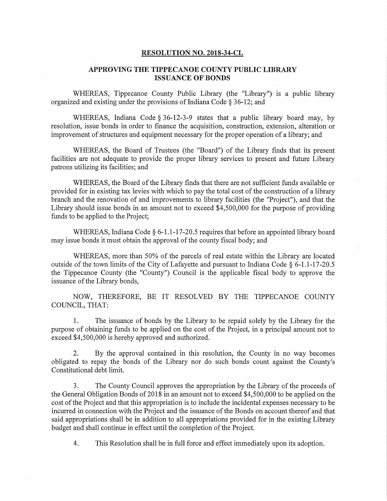## RESOLUTION NO. 2018-34-CL

## APPROVING THE TIPPECANOE COUNTY PUBLIC LIBRARY ISSUANCE OF BONDS '

WHEREAS, Tippecanoe County Public Library (the "Library") is a public library organized and existing under the provisions of Indiana Code § 36-12; and

WHEREAS, Indiana Code § 36-12-3-9 states that <sup>a</sup> public library board may, by resolution, issue bonds in order to finance the acquisition, construction, extension, alteration or improvement of structures and equipment necessary for the proper operation of <sup>a</sup> library; and

WHEREAS, the Board of Trustees (the "Board") of the Library finds that its present facilities are not adequate to provide the proper library services to present and future Library patrons utilizing its facilities; and '

WHEREAS, the Board of the Library finds that there are not sufficient funds available or provided for in existing tax levies with which to pay the total cost of the construction of <sup>a</sup> library branch and the renovation of and improvements to library facilities (the "Project"), and that the Library should issue bonds in an amount not to exceed \$4,500,000 for the purpose of providing funds to be applied to the Project;

WHEREAS, Indiana Code  $\S 6$ -1.1-17-20.5 requires that before an appointed library board may issue bonds it must obtain the approval of the county fiscal body; and

WHEREAS, more than 50% of the parcels of real estate within the Library are located outside of the town limits of the City of Lafayette and pursuant to Indiana Code  $\S$  6-1.1-17-20.5 the Tippecanoe County (the "County") Council is the applicable fiscal body to approve the issuance of the Library bonds,

NOW, THEREFORE, BE IT RESOLVED BY THE TIPPECANOE COUNTY COUNCIL, THAT:

1. The issuance of bonds by the Library to be repaid solely by the Library for the purpose of obtaining funds to be applied on the costof the Project, in <sup>a</sup> principal amount not to exceed \$4,500,000 is hereby approved and authorized.

2. By the approval contained in this resolution, the County in no way becomes obligated to repay the bonds of the Library nor do such bonds count against the County's Constitutional debt limit.

3. The County Council approves the appropriation by the Library of the proceeds of the General Obligation Bonds of 2018 in an amount not to exceed \$4,500,000 to be applied on the cost of the Project and that this appropriation is to include the incidental expenses necessary to be incurred in connection with the Project and the issuance of the Bonds on account thereof and that said appropriations shall be in addition to all appropriations provided for in the existing Library budget and shall continue in effect until the completion of the Project.

4. This Resolution shall be in full force and effect immediately upon its adoption.